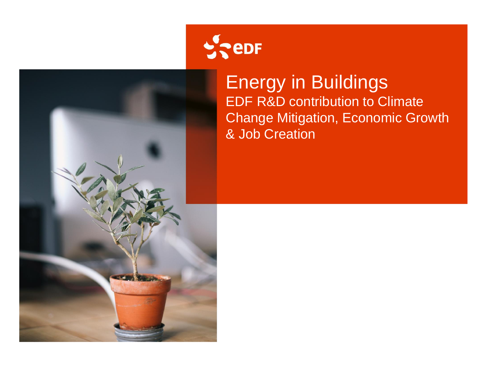



#### Energy in Buildings EDF R&D contribution to Climate Change Mitigation, Economic Growth & Job Creation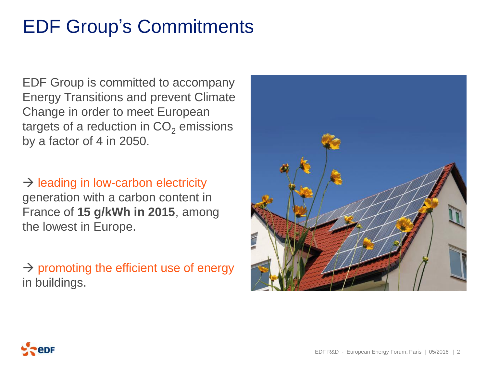## EDF Group's Commitments

EDF Group is committed to accompany Energy Transitions and prevent Climate Change in order to meet European targets of a reduction in  $CO<sub>2</sub>$  emissions by a factor of 4 in 2050.

 $\rightarrow$  leading in low-carbon electricity generation with a carbon content in France of **15 g/kWh in 2015**, among the lowest in Europe.

 $\rightarrow$  promoting the efficient use of energy in buildings.



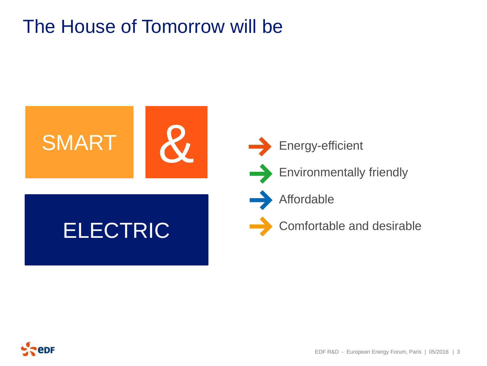### The House of Tomorrow will be



Energy-efficient Environmentally friendly Affordable Comfortable and desirable

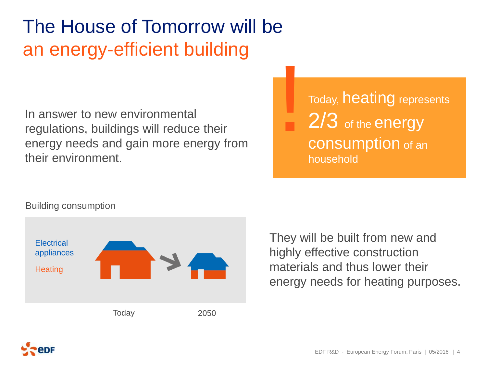## The House of Tomorrow will be an energy-efficient building

In answer to new environmental regulations, buildings will reduce their energy needs and gain more energy from their environment.

Today, heating represents 2/3 of the energy consumption of an household !



They will be built from new and highly effective construction materials and thus lower their energy needs for heating purposes.

#### Building consumption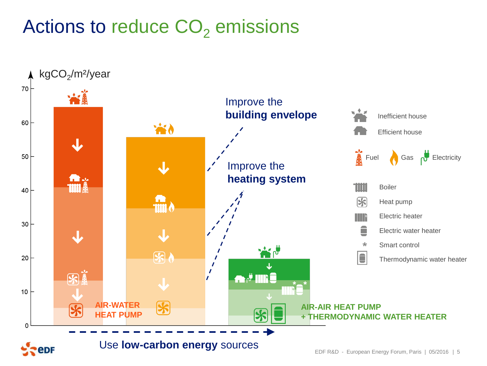## Actions to reduce  $CO<sub>2</sub>$  emissions

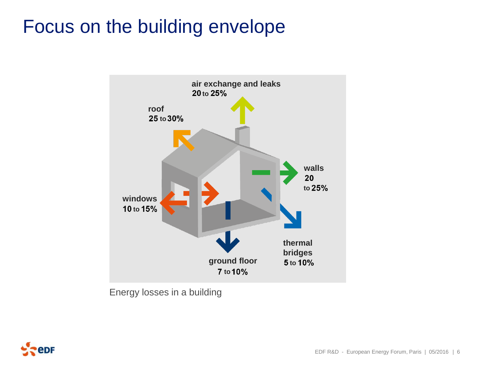#### Focus on the building envelope



Energy losses in a building

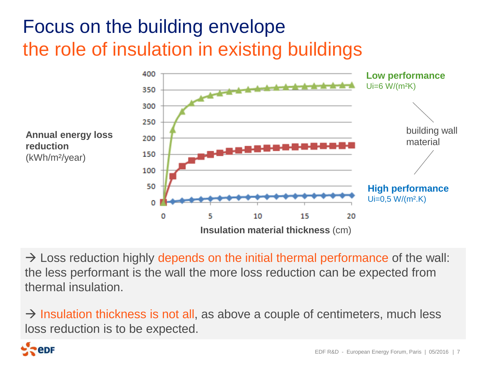# Focus on the building envelope the role of insulation in existing buildings



 $\rightarrow$  Loss reduction highly depends on the initial thermal performance of the wall: the less performant is the wall the more loss reduction can be expected from thermal insulation.

 $\rightarrow$  Insulation thickness is not all, as above a couple of centimeters, much less loss reduction is to be expected.

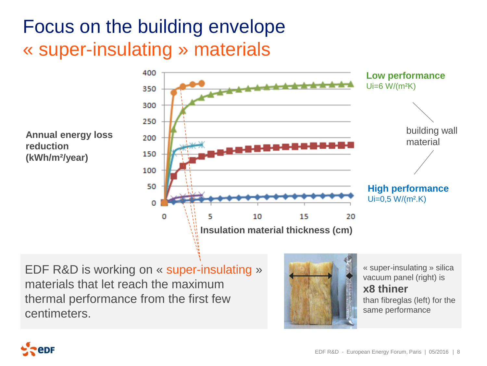## Focus on the building envelope « super-insulating » materials



EDF R&D is working on « super-insulating » materials that let reach the maximum thermal performance from the first few centimeters.



« super-insulating » silica vacuum panel (right) is **x8 thiner** than fibreglas (left) for the same performance

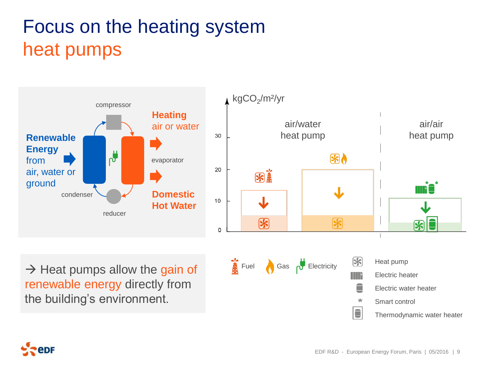## Focus on the heating system heat pumps



renewable energy directly from the building's environment.

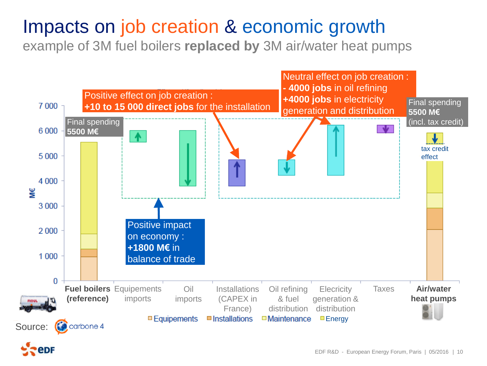#### Impacts on job creation & economic growth

example of 3M fuel boilers **replaced by** 3M air/water heat pumps

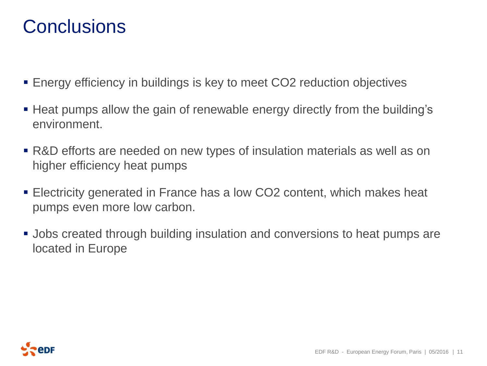#### **Conclusions**

- Energy efficiency in buildings is key to meet CO2 reduction objectives
- Heat pumps allow the gain of renewable energy directly from the building's environment.
- R&D efforts are needed on new types of insulation materials as well as on higher efficiency heat pumps
- Electricity generated in France has a low CO2 content, which makes heat pumps even more low carbon.
- Jobs created through building insulation and conversions to heat pumps are located in Europe